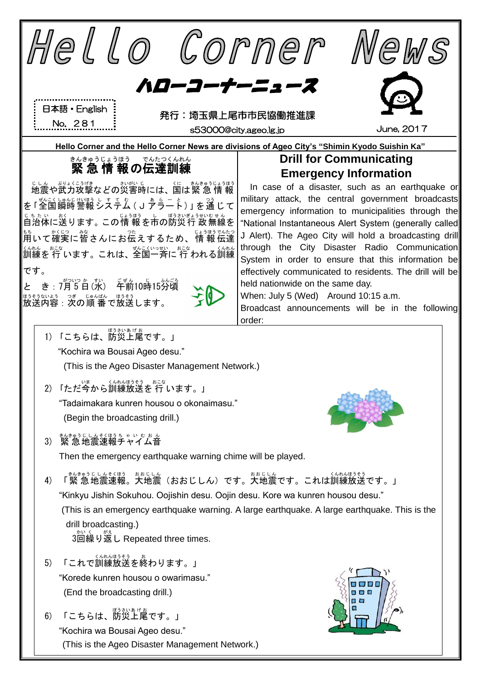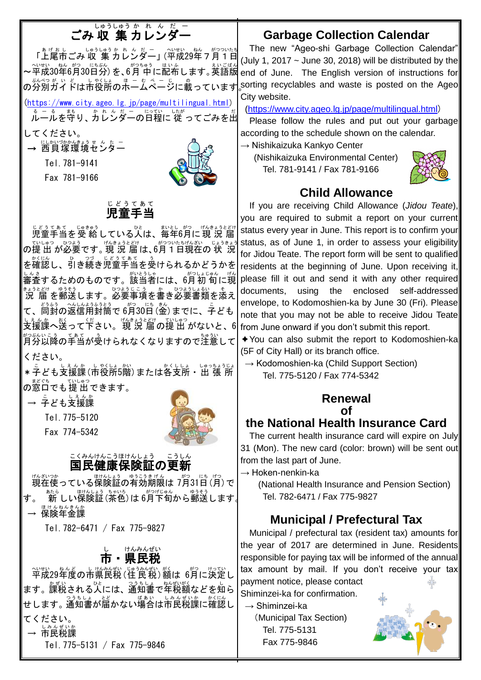## ごみ 収 集 カレンダー

「上尾市ごみ 収 集 カレンダー」(平成29年7月1日 ~平成 へいせい 30年 ねん 6月 がつ 30日分 にちぶん )を、6月 中 がつちゅう に配布 はいふ します。英語版 えいごばん の分別ガイドは市役所のホームページに載っています<sup>|</sup>。§(

([https://www.city.ageo.lg.jp/page/multilingual.html\)](https://www.city.ageo.lg.jp/page/multilingual.html)

\_。−\_。<br>ルールを守り、 カレンダーの日程に 従 ってごみを出 してください。

— ﷺ こんじゅうま & たー<br>→ 西貝塚環境センター

Tel.781-9141

Fax 781-9166



#### 児童 手当 じどう てあて

<u>じどうてあて。 じゅきゅう</u><br>児童手当を受 給している人は、毎年6月に現 況 届 ○ひょう。 『んきょうとどけ』 がついたちげんざい じょうきょう<br>の提 出 が必要です。現 況 届 は、6月1日現在の 状 況 を確認 かくにん し、引 ひ き続 つづ き児童 じどう 手当 てあて を受 う けられるかどうかを し。ま<br>審査するためのものです。 該当者には、6月 初 旬に現 <sub>まょうとけ そ割送します。必要事項を書き必要書類を添え</sub> て、同封の返信用封筒で 6月30日 (金) までに、子ども しぇんか。<br>支援課へ送って下さい。現 況 届 の提 出 がないと、6 約※いこ。。。。。。。<br>月分以降の手当が受けられなくなりますので注意して

ください。

\* 字ども支援課(市役所5階)または各支所・出 張 所 の窓口でも提 出できます。

→ <sup>こ</sup>ども支援課

Tel.775-5120 Fax 774-5342



## <u>こくみんけんこうほんよよう。</u> こうしん<br>国民健康保険証の更新

<sub>げんざいつか</sub><br>現在使っている保険証の有効期限は 7月31日 (月) で す。 新しい保険証(茶色)は 6月下旬から郵送します。 → 保険年金課

Tel.782-6471 / Fax 775-9827

# 市 し ・県民 けんみん 税 ぜい

平成 へいせい 29年度 ねんど の市 し 県民 けんみん 税 ぜい (住民税 じゅうみんぜい )額 がく は 6月 がつ に決定 けってい し ます。課税される人には、通知書で年税額などを知ら せします。通知書が届かない場合は市民税課に確認し てください。 → 市民税課 しみんぜいか

Tel.775-5131 / Fax 775-9846

## **Garbage Collection Calendar**

The new "Ageo-shi Garbage Collection Calendar" (July 1, 2017  $\sim$  June 30, 2018) will be distributed by the end of June. The English version of instructions for sorting recyclables and waste is posted on the Ageo City website.

[\(https://www.city.ageo.lg.jp/page/multilingual.html](https://www.city.ageo.lg.jp/page/multilingual.html))

Please follow the rules and put out your garbage according to the schedule shown on the calendar.

→ Nishikaizuka Kankyo Center

(Nishikaizuka Environmental Center) Tel. 781-9141 / Fax 781-9166



### **Child Allowance**

If you are receiving Child Allowance (*Jidou Teate*), you are required to submit a report on your current status every year in June. This report is to confirm your status, as of June 1, in order to assess your eligibility for Jidou Teate. The report form will be sent to qualified residents at the beginning of June. Upon receiving it, please fill it out and send it with any other required documents, using the enclosed self-addressed envelope, to Kodomoshien-ka by June 30 (Fri). Please note that you may not be able to receive Jidou Teate from June onward if you don't submit this report.

✦You can also submit the report to Kodomoshien-ka (5F of City Hall) or its branch office.

 $\rightarrow$  Kodomoshien-ka (Child Support Section) Tel. 775-5120 / Fax 774-5342

### **Renewal of**

### **the National Health Insurance Card**

The current health insurance card will expire on July 31 (Mon). The new card (color: brown) will be sent out from the last part of June.

 $\rightarrow$  Hoken-nenkin-ka

(National Health Insurance and Pension Section) Tel. 782-6471 / Fax 775-9827

## **Municipal / Prefectural Tax**

Municipal / prefectural tax (resident tax) amounts for the year of 2017 are determined in June. Residents responsible for paying tax will be informed of the annual tax amount by mail. If you don't receive your tax

payment notice, please contact Shiminzei-ka for confirmation.  $\rightarrow$  Shiminzei-ka

(Municipal Tax Section) Tel. 775-5131 Fax 775-9846

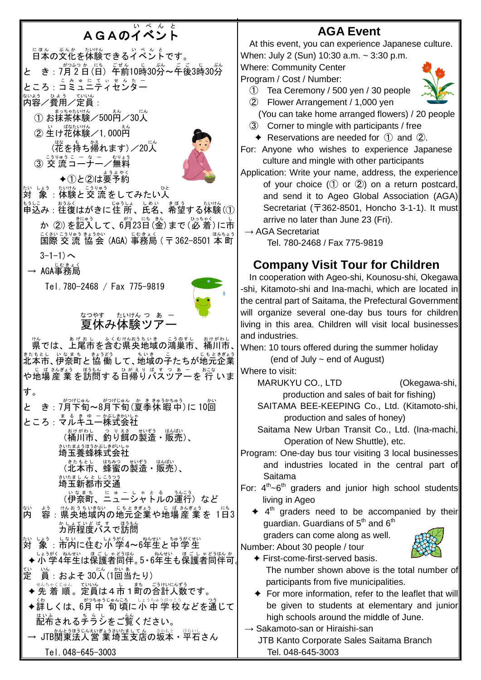## AGAのイベント



Tel.048-645-3003

### **AGA Event**

At this event, you can experience Japanese culture. When: July 2 (Sun) 10:30 a.m. ~ 3:30 p.m.

Where: Community Center Program / Cost / Number:

➀ Tea Ceremony / 500 yen / 30 people



➁ Flower Arrangement / 1,000 yen

(You can take home arranged flowers) / 20 people

- ➂ Corner to mingle with participants / free
- $\triangle$  Reservations are needed for  $(1)$  and  $(2)$ .
- For: Anyone who wishes to experience Japanese culture and mingle with other participants
- Application: Write your name, address, the experience of your choice  $(①$  or  $②$ ) on a return postcard, and send it to Ageo Global Association (AGA) Secretariat (〒362-8501, Honcho 3-1-1). It must arrive no later than June 23 (Fri).

 $\rightarrow$  AGA Secretariat

Tel. 780-2468 / Fax 775-9819

## **Company Visit Tour for Children**

In cooperation with Ageo-shi, Kounosu-shi, Okegawa -shi, Kitamoto-shi and Ina-machi, which are located in the central part of Saitama, the Prefectural Government will organize several one-day bus tours for children living in this area. Children will visit local businesses and industries.

When: 10 tours offered during the summer holiday

(end of July ~ end of August)

Where to visit:

MARUKYU CO., LTD (Okegawa-shi, production and sales of bait for fishing)

SAITAMA BEE-KEEPING Co., Ltd. (Kitamoto-shi, production and sales of honey)

Saitama New Urban Transit Co., Ltd. (Ina-machi, Operation of New Shuttle), etc.

Program: One-day bus tour visiting 3 local businesses and industries located in the central part of Saitama

- For:  $4^{th}$ ~6<sup>th</sup> graders and junior high school students living in Ageo
	- $\triangleq 4^{\text{th}}$  graders need to be accompanied by their quardian. Guardians of  $5<sup>th</sup>$  and  $6<sup>th</sup>$

graders can come along as well. Number: About 30 people / tour



- ✦ First-come-first-served basis. The number shown above is the total number of participants from five municipalities.
- ✦ For more information, refer to the leaflet that will be given to students at elementary and junior high schools around the middle of June.
- $\rightarrow$  Sakamoto-san or Hiraishi-san JTB Kanto Corporate Sales Saitama Branch Tel. 048-645-3003